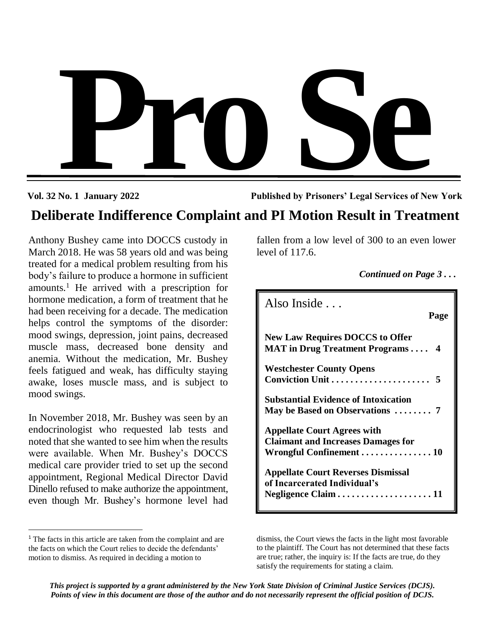

**Vol. 32 No. 1 January 2022 Published by Prisoners' Legal Services of New York**

# **Deliberate Indifference Complaint and PI Motion Result in Treatment Deliberate Indifference Complaint and PI Motion Result in Treatment**

Anthony Bushey came into DOCCS custody in March 2018. He was 58 years old and was being treated for a medical problem resulting from his body's failure to produce a hormone in sufficient amounts.<sup>1</sup> He arrived with a prescription for hormone medication, a form of treatment that he had been receiving for a decade. The medication helps control the symptoms of the disorder: mood swings, depression, joint pains, decreased muscle mass, decreased bone density and anemia. Without the medication, Mr. Bushey feels fatigued and weak, has difficulty staying awake, loses muscle mass, and is subject to mood swings.

In November 2018, Mr. Bushey was seen by an endocrinologist who requested lab tests and noted that she wanted to see him when the results were available. When Mr. Bushey's DOCCS medical care provider tried to set up the second appointment, Regional Medical Director David Dinello refused to make authorize the appointment, even though Mr. Bushey's hormone level had

 $\overline{a}$ 

fallen from a low level of 300 to an even lower level of 117.6.

*Continued on Page 3 . . .*

| Also Inside $\ldots$                                                                                        | Page |
|-------------------------------------------------------------------------------------------------------------|------|
| <b>New Law Requires DOCCS to Offer</b><br><b>MAT</b> in Drug Treatment Programs 4                           |      |
| <b>Westchester County Opens</b><br>Conviction Unit  5                                                       |      |
| <b>Substantial Evidence of Intoxication</b><br>May be Based on Observations  7                              |      |
| <b>Appellate Court Agrees with</b><br><b>Claimant and Increases Damages for</b><br>Wrongful Confinement  10 |      |
| <b>Appellate Court Reverses Dismissal</b><br>of Incarcerated Individual's                                   |      |

<sup>&</sup>lt;sup>1</sup> The facts in this article are taken from the complaint and are the facts on which the Court relies to decide the defendants' motion to dismiss. As required in deciding a motion to

dismiss, the Court views the facts in the light most favorable to the plaintiff. The Court has not determined that these facts are true; rather, the inquiry is: If the facts are true, do they satisfy the requirements for stating a claim.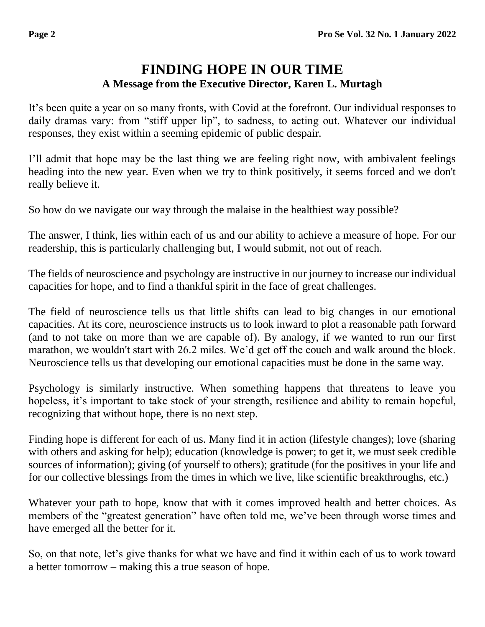# **FINDING HOPE IN OUR TIME A Message from the Executive Director, Karen L. Murtagh**

It's been quite a year on so many fronts, with Covid at the forefront. Our individual responses to daily dramas vary: from "stiff upper lip", to sadness, to acting out. Whatever our individual responses, they exist within a seeming epidemic of public despair.

I'll admit that hope may be the last thing we are feeling right now, with ambivalent feelings heading into the new year. Even when we try to think positively, it seems forced and we don't really believe it.

So how do we navigate our way through the malaise in the healthiest way possible?

The answer, I think, lies within each of us and our ability to achieve a measure of hope. For our readership, this is particularly challenging but, I would submit, not out of reach.

The fields of neuroscience and psychology are instructive in our journey to increase our individual capacities for hope, and to find a thankful spirit in the face of great challenges.

The field of neuroscience tells us that little shifts can lead to big changes in our emotional capacities. At its core, neuroscience instructs us to look inward to plot a reasonable path forward (and to not take on more than we are capable of). By analogy, if we wanted to run our first marathon, we wouldn't start with 26.2 miles. We'd get off the couch and walk around the block. Neuroscience tells us that developing our emotional capacities must be done in the same way.

Psychology is similarly instructive. When something happens that threatens to leave you hopeless, it's important to take stock of your strength, resilience and ability to remain hopeful, recognizing that without hope, there is no next step.

Finding hope is different for each of us. Many find it in action (lifestyle changes); love (sharing with others and asking for help); education (knowledge is power; to get it, we must seek credible sources of information); giving (of yourself to others); gratitude (for the positives in your life and for our collective blessings from the times in which we live, like scientific breakthroughs, etc.)

Whatever your path to hope, know that with it comes improved health and better choices. As members of the "greatest generation" have often told me, we've been through worse times and have emerged all the better for it.

So, on that note, let's give thanks for what we have and find it within each of us to work toward a better tomorrow – making this a true season of hope.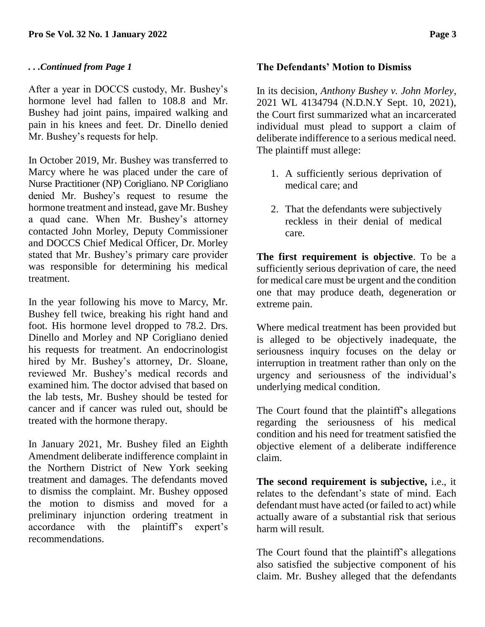#### *. . .Continued from Page 1*

After a year in DOCCS custody, Mr. Bushey's hormone level had fallen to 108.8 and Mr. Bushey had joint pains, impaired walking and pain in his knees and feet. Dr. Dinello denied Mr. Bushey's requests for help.

In October 2019, Mr. Bushey was transferred to Marcy where he was placed under the care of Nurse Practitioner (NP) Corigliano. NP Corigliano denied Mr. Bushey's request to resume the hormone treatment and instead, gave Mr. Bushey a quad cane. When Mr. Bushey's attorney contacted John Morley, Deputy Commissioner and DOCCS Chief Medical Officer, Dr. Morley stated that Mr. Bushey's primary care provider was responsible for determining his medical treatment.

In the year following his move to Marcy, Mr. Bushey fell twice, breaking his right hand and foot. His hormone level dropped to 78.2. Drs. Dinello and Morley and NP Corigliano denied his requests for treatment. An endocrinologist hired by Mr. Bushey's attorney, Dr. Sloane, reviewed Mr. Bushey's medical records and examined him. The doctor advised that based on the lab tests, Mr. Bushey should be tested for cancer and if cancer was ruled out, should be treated with the hormone therapy.

In January 2021, Mr. Bushey filed an Eighth Amendment deliberate indifference complaint in the Northern District of New York seeking treatment and damages. The defendants moved to dismiss the complaint. Mr. Bushey opposed the motion to dismiss and moved for a preliminary injunction ordering treatment in accordance with the plaintiff's expert's recommendations.

#### **The Defendants' Motion to Dismiss**

In its decision, *Anthony Bushey v. John Morley*, 2021 WL 4134794 (N.D.N.Y Sept. 10, 2021), the Court first summarized what an incarcerated individual must plead to support a claim of deliberate indifference to a serious medical need. The plaintiff must allege:

- 1. A sufficiently serious deprivation of medical care; and
- 2. That the defendants were subjectively reckless in their denial of medical care.

**The first requirement is objective**. To be a sufficiently serious deprivation of care, the need for medical care must be urgent and the condition one that may produce death, degeneration or extreme pain.

Where medical treatment has been provided but is alleged to be objectively inadequate, the seriousness inquiry focuses on the delay or interruption in treatment rather than only on the urgency and seriousness of the individual's underlying medical condition.

The Court found that the plaintiff's allegations regarding the seriousness of his medical condition and his need for treatment satisfied the objective element of a deliberate indifference claim.

**The second requirement is subjective,** i.e., it relates to the defendant's state of mind. Each defendant must have acted (or failed to act) while actually aware of a substantial risk that serious harm will result.

The Court found that the plaintiff's allegations also satisfied the subjective component of his claim. Mr. Bushey alleged that the defendants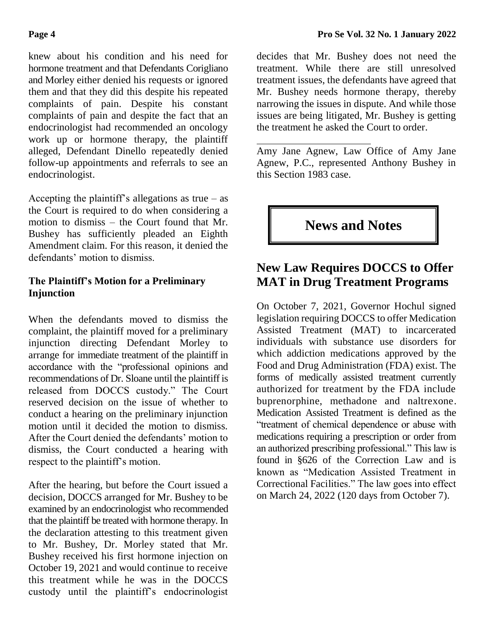knew about his condition and his need for hormone treatment and that Defendants Corigliano and Morley either denied his requests or ignored them and that they did this despite his repeated complaints of pain. Despite his constant complaints of pain and despite the fact that an endocrinologist had recommended an oncology work up or hormone therapy, the plaintiff alleged, Defendant Dinello repeatedly denied follow-up appointments and referrals to see an endocrinologist.

Accepting the plaintiff's allegations as true  $-$  as the Court is required to do when considering a motion to dismiss – the Court found that Mr. Bushey has sufficiently pleaded an Eighth Amendment claim. For this reason, it denied the defendants' motion to dismiss.

#### **The Plaintiff's Motion for a Preliminary Injunction**

When the defendants moved to dismiss the complaint, the plaintiff moved for a preliminary injunction directing Defendant Morley to arrange for immediate treatment of the plaintiff in accordance with the "professional opinions and recommendations of Dr. Sloane until the plaintiff is released from DOCCS custody." The Court reserved decision on the issue of whether to conduct a hearing on the preliminary injunction motion until it decided the motion to dismiss. After the Court denied the defendants' motion to dismiss, the Court conducted a hearing with respect to the plaintiff's motion.

After the hearing, but before the Court issued a decision, DOCCS arranged for Mr. Bushey to be examined by an endocrinologist who recommended that the plaintiff be treated with hormone therapy. In the declaration attesting to this treatment given to Mr. Bushey, Dr. Morley stated that Mr. Bushey received his first hormone injection on October 19, 2021 and would continue to receive this treatment while he was in the DOCCS custody until the plaintiff's endocrinologist

decides that Mr. Bushey does not need the treatment. While there are still unresolved treatment issues, the defendants have agreed that Mr. Bushey needs hormone therapy, thereby narrowing the issues in dispute. And while those issues are being litigated, Mr. Bushey is getting the treatment he asked the Court to order.

Amy Jane Agnew, Law Office of Amy Jane Agnew, P.C., represented Anthony Bushey in this Section 1983 case.

#### **News and Notes**

#### **New Law Requires DOCCS to Offer MAT in Drug Treatment Programs**

On October 7, 2021, Governor Hochul signed legislation requiring DOCCS to offer Medication Assisted Treatment (MAT) to incarcerated individuals with substance use disorders for which addiction medications approved by the Food and Drug Administration (FDA) exist. The forms of medically assisted treatment currently authorized for treatment by the FDA include buprenorphine, methadone and naltrexone. Medication Assisted Treatment is defined as the "treatment of chemical dependence or abuse with medications requiring a prescription or order from an authorized prescribing professional." This law is found in §626 of the Correction Law and is known as "Medication Assisted Treatment in Correctional Facilities." The law goes into effect on March 24, 2022 (120 days from October 7).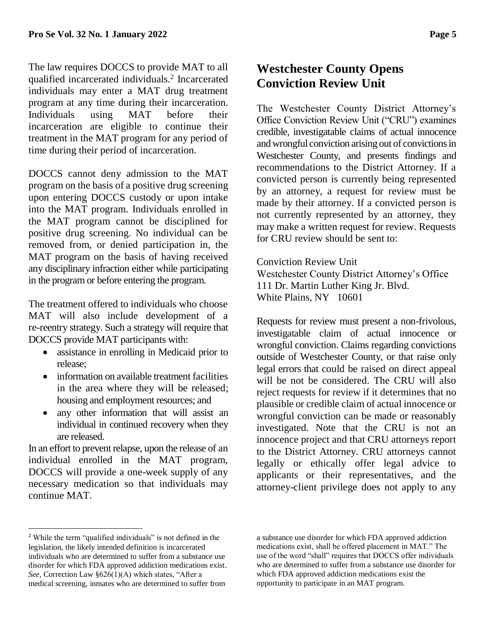The law requires DOCCS to provide MAT to all qualified incarcerated individuals.<sup>2</sup> Incarcerated individuals may enter a MAT drug treatment program at any time during their incarceration. Individuals using MAT before their incarceration are eligible to continue their treatment in the MAT program for any period of time during their period of incarceration.

DOCCS cannot deny admission to the MAT program on the basis of a positive drug screening upon entering DOCCS custody or upon intake into the MAT program. Individuals enrolled in the MAT program cannot be disciplined for positive drug screening. No individual can be removed from, or denied participation in, the MAT program on the basis of having received any disciplinary infraction either while participating in the program or before entering the program.

The treatment offered to individuals who choose MAT will also include development of a re-reentry strategy. Such a strategy will require that DOCCS provide MAT participants with:

- assistance in enrolling in Medicaid prior to release;
- information on available treatment facilities in the area where they will be released; housing and employment resources; and
- any other information that will assist an individual in continued recovery when they are released.

In an effort to prevent relapse, upon the release of an individual enrolled in the MAT program, DOCCS will provide a one-week supply of any necessary medication so that individuals may continue MAT.

#### **Westchester County Opens Conviction Review Unit**

The Westchester County District Attorney's Office Conviction Review Unit ("CRU") examines credible, investigatable claims of actual innocence and wrongful conviction arising out of convictions in Westchester County, and presents findings and recommendations to the District Attorney. If a convicted person is currently being represented by an attorney, a request for review must be made by their attorney. If a convicted person is not currently represented by an attorney, they may make a written request for review. Requests for CRU review should be sent to:

Conviction Review Unit Westchester County District Attorney's Office 111 Dr. Martin Luther King Jr. Blvd. White Plains, NY 10601

Requests for review must present a non-frivolous, investigatable claim of actual innocence or wrongful conviction. Claims regarding convictions outside of Westchester County, or that raise only legal errors that could be raised on direct appeal will be not be considered. The CRU will also reject requests for review if it determines that no plausible or credible claim of actual innocence or wrongful conviction can be made or reasonably investigated. Note that the CRU is not an innocence project and that CRU attorneys report to the District Attorney. CRU attorneys cannot legally or ethically offer legal advice to applicants or their representatives, and the attorney-client privilege does not apply to any

 $\overline{a}$ 

<sup>2</sup> While the term "qualified individuals" is not defined in the legislation, the likely intended definition is incarcerated individuals who are determined to suffer from a substance use disorder for which FDA approved addiction medications exist. *See*, Correction Law §626(1)(A) which states, "After a medical screening, inmates who are determined to suffer from

a substance use disorder for which FDA approved addiction medications exist, shall be offered placement in MAT." The use of the word "shall" requires that DOCCS offer individuals who are determined to suffer from a substance use disorder for which FDA approved addiction medications exist the opportunity to participate in an MAT program.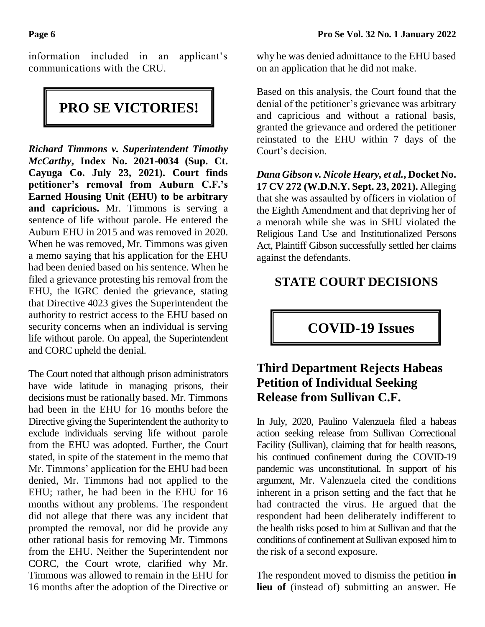information included in an applicant's communications with the CRU.

# **PRO SE VICTORIES!**

*Richard Timmons v. Superintendent Timothy McCarthy***, Index No. 2021-0034 (Sup. Ct. Cayuga Co. July 23, 2021). Court finds petitioner's removal from Auburn C.F.'s Earned Housing Unit (EHU) to be arbitrary and capricious.** Mr. Timmons is serving a sentence of life without parole. He entered the Auburn EHU in 2015 and was removed in 2020. When he was removed, Mr. Timmons was given a memo saying that his application for the EHU had been denied based on his sentence. When he filed a grievance protesting his removal from the EHU, the IGRC denied the grievance, stating that Directive 4023 gives the Superintendent the authority to restrict access to the EHU based on security concerns when an individual is serving life without parole. On appeal, the Superintendent and CORC upheld the denial.

The Court noted that although prison administrators have wide latitude in managing prisons, their decisions must be rationally based. Mr. Timmons had been in the EHU for 16 months before the Directive giving the Superintendent the authority to exclude individuals serving life without parole from the EHU was adopted. Further, the Court stated, in spite of the statement in the memo that Mr. Timmons' application for the EHU had been denied, Mr. Timmons had not applied to the EHU; rather, he had been in the EHU for 16 months without any problems. The respondent did not allege that there was any incident that prompted the removal, nor did he provide any other rational basis for removing Mr. Timmons from the EHU. Neither the Superintendent nor CORC, the Court wrote, clarified why Mr. Timmons was allowed to remain in the EHU for 16 months after the adoption of the Directive or

why he was denied admittance to the EHU based on an application that he did not make.

Based on this analysis, the Court found that the denial of the petitioner's grievance was arbitrary and capricious and without a rational basis, granted the grievance and ordered the petitioner reinstated to the EHU within 7 days of the Court's decision.

*Dana Gibson v. Nicole Heary, et al.***, Docket No. 17 CV 272 (W.D.N.Y. Sept. 23, 2021).** Alleging that she was assaulted by officers in violation of the Eighth Amendment and that depriving her of a menorah while she was in SHU violated the Religious Land Use and Institutionalized Persons Act, Plaintiff Gibson successfully settled her claims against the defendants.

## **STATE COURT DECISIONS**

## **COVID-19 Issues**

## **Third Department Rejects Habeas Petition of Individual Seeking Release from Sullivan C.F.**

In July, 2020, Paulino Valenzuela filed a habeas action seeking release from Sullivan Correctional Facility (Sullivan), claiming that for health reasons, his continued confinement during the COVID-19 pandemic was unconstitutional. In support of his argument, Mr. Valenzuela cited the conditions inherent in a prison setting and the fact that he had contracted the virus. He argued that the respondent had been deliberately indifferent to the health risks posed to him at Sullivan and that the conditions of confinement at Sullivan exposed him to the risk of a second exposure.

The respondent moved to dismiss the petition **in lieu of** (instead of) submitting an answer. He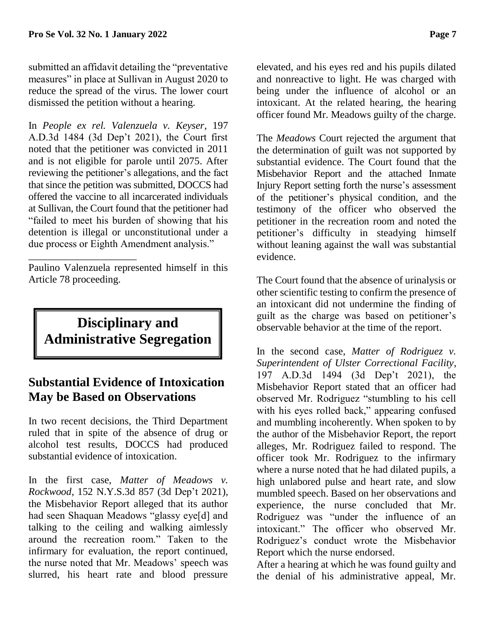submitted an affidavit detailing the "preventative measures" in place at Sullivan in August 2020 to reduce the spread of the virus. The lower court dismissed the petition without a hearing.

In *People ex rel. Valenzuela v. Keyser*, 197 A.D.3d 1484 (3d Dep't 2021), the Court first noted that the petitioner was convicted in 2011 and is not eligible for parole until 2075. After reviewing the petitioner's allegations, and the fact that since the petition was submitted, DOCCS had offered the vaccine to all incarcerated individuals at Sullivan, the Court found that the petitioner had "failed to meet his burden of showing that his detention is illegal or unconstitutional under a due process or Eighth Amendment analysis."

Paulino Valenzuela represented himself in this Article 78 proceeding.

\_\_\_\_\_\_\_\_\_\_\_\_\_\_\_\_\_\_\_\_\_

# **Disciplinary and Administrative Segregation**

#### **Substantial Evidence of Intoxication May be Based on Observations**

In two recent decisions, the Third Department ruled that in spite of the absence of drug or alcohol test results, DOCCS had produced substantial evidence of intoxication.

In the first case, *Matter of Meadows v. Rockwood*, 152 N.Y.S.3d 857 (3d Dep't 2021), the Misbehavior Report alleged that its author had seen Shaquan Meadows "glassy eye[d] and talking to the ceiling and walking aimlessly around the recreation room." Taken to the infirmary for evaluation, the report continued, the nurse noted that Mr. Meadows' speech was slurred, his heart rate and blood pressure

elevated, and his eyes red and his pupils dilated and nonreactive to light. He was charged with being under the influence of alcohol or an intoxicant. At the related hearing, the hearing officer found Mr. Meadows guilty of the charge.

The *Meadows* Court rejected the argument that the determination of guilt was not supported by substantial evidence. The Court found that the Misbehavior Report and the attached Inmate Injury Report setting forth the nurse's assessment of the petitioner's physical condition, and the testimony of the officer who observed the petitioner in the recreation room and noted the petitioner's difficulty in steadying himself without leaning against the wall was substantial evidence.

The Court found that the absence of urinalysis or other scientific testing to confirm the presence of an intoxicant did not undermine the finding of guilt as the charge was based on petitioner's observable behavior at the time of the report.

In the second case, *Matter of Rodriguez v. Superintendent of Ulster Correctional Facility*, 197 A.D.3d 1494 (3d Dep't 2021), the Misbehavior Report stated that an officer had observed Mr. Rodriguez "stumbling to his cell with his eyes rolled back," appearing confused and mumbling incoherently. When spoken to by the author of the Misbehavior Report, the report alleges, Mr. Rodriguez failed to respond. The officer took Mr. Rodriguez to the infirmary where a nurse noted that he had dilated pupils, a high unlabored pulse and heart rate, and slow mumbled speech. Based on her observations and experience, the nurse concluded that Mr. Rodriguez was "under the influence of an intoxicant." The officer who observed Mr. Rodriguez's conduct wrote the Misbehavior Report which the nurse endorsed.

After a hearing at which he was found guilty and the denial of his administrative appeal, Mr.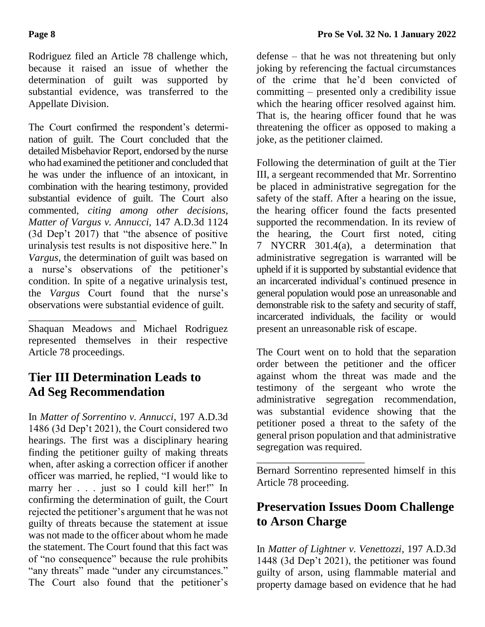Rodriguez filed an Article 78 challenge which, because it raised an issue of whether the determination of guilt was supported by substantial evidence, was transferred to the Appellate Division.

The Court confirmed the respondent's determination of guilt. The Court concluded that the detailed Misbehavior Report, endorsed by the nurse who had examined the petitioner and concluded that he was under the influence of an intoxicant, in combination with the hearing testimony, provided substantial evidence of guilt. The Court also commented, *citing among other decisions, Matter of Vargus v. Annucci,* 147 A.D.3d 1124 (3d Dep't 2017) that "the absence of positive urinalysis test results is not dispositive here." In *Vargus*, the determination of guilt was based on a nurse's observations of the petitioner's condition. In spite of a negative urinalysis test, the *Vargus* Court found that the nurse's observations were substantial evidence of guilt.

\_\_\_\_\_\_\_\_\_\_\_\_\_\_\_\_\_\_\_\_\_ Shaquan Meadows and Michael Rodriguez represented themselves in their respective Article 78 proceedings.

## **Tier III Determination Leads to Ad Seg Recommendation**

In *Matter of Sorrentino v. Annucci*, 197 A.D.3d 1486 (3d Dep't 2021), the Court considered two hearings. The first was a disciplinary hearing finding the petitioner guilty of making threats when, after asking a correction officer if another officer was married, he replied, "I would like to marry her . . . just so I could kill her!" In confirming the determination of guilt, the Court rejected the petitioner's argument that he was not guilty of threats because the statement at issue was not made to the officer about whom he made the statement. The Court found that this fact was of "no consequence" because the rule prohibits "any threats" made "under any circumstances." The Court also found that the petitioner's

defense – that he was not threatening but only joking by referencing the factual circumstances of the crime that he'd been convicted of committing – presented only a credibility issue which the hearing officer resolved against him. That is, the hearing officer found that he was threatening the officer as opposed to making a joke, as the petitioner claimed.

Following the determination of guilt at the Tier III, a sergeant recommended that Mr. Sorrentino be placed in administrative segregation for the safety of the staff. After a hearing on the issue, the hearing officer found the facts presented supported the recommendation. In its review of the hearing, the Court first noted, citing 7 NYCRR 301.4(a), a determination that administrative segregation is warranted will be upheld if it is supported by substantial evidence that an incarcerated individual's continued presence in general population would pose an unreasonable and demonstrable risk to the safety and security of staff, incarcerated individuals, the facility or would present an unreasonable risk of escape.

The Court went on to hold that the separation order between the petitioner and the officer against whom the threat was made and the testimony of the sergeant who wrote the administrative segregation recommendation, was substantial evidence showing that the petitioner posed a threat to the safety of the general prison population and that administrative segregation was required.

\_\_\_\_\_\_\_\_\_\_\_\_\_\_\_\_\_\_\_\_\_ Bernard Sorrentino represented himself in this Article 78 proceeding.

# **Preservation Issues Doom Challenge to Arson Charge**

In *Matter of Lightner v. Venettozzi*, 197 A.D.3d 1448 (3d Dep't 2021), the petitioner was found guilty of arson, using flammable material and property damage based on evidence that he had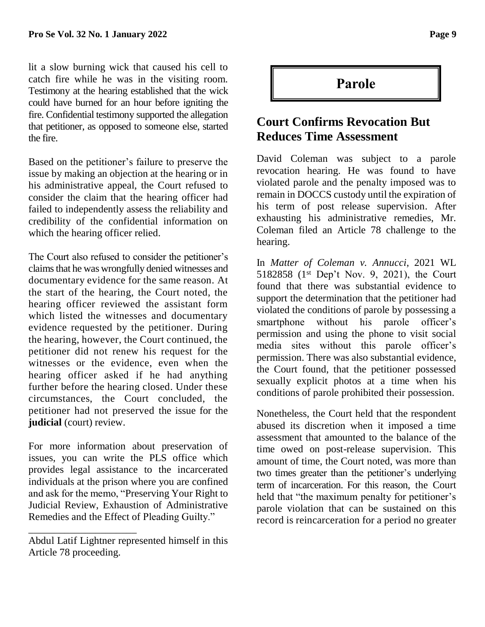lit a slow burning wick that caused his cell to catch fire while he was in the visiting room. Testimony at the hearing established that the wick could have burned for an hour before igniting the fire. Confidential testimony supported the allegation that petitioner, as opposed to someone else, started the fire.

Based on the petitioner's failure to preserve the issue by making an objection at the hearing or in his administrative appeal, the Court refused to consider the claim that the hearing officer had failed to independently assess the reliability and credibility of the confidential information on which the hearing officer relied.

The Court also refused to consider the petitioner's claims that he was wrongfully denied witnesses and documentary evidence for the same reason. At the start of the hearing, the Court noted, the hearing officer reviewed the assistant form which listed the witnesses and documentary evidence requested by the petitioner. During the hearing, however, the Court continued, the petitioner did not renew his request for the witnesses or the evidence, even when the hearing officer asked if he had anything further before the hearing closed. Under these circumstances, the Court concluded, the petitioner had not preserved the issue for the **judicial** (court) review.

For more information about preservation of issues, you can write the PLS office which provides legal assistance to the incarcerated individuals at the prison where you are confined and ask for the memo, "Preserving Your Right to Judicial Review, Exhaustion of Administrative Remedies and the Effect of Pleading Guilty."

\_\_\_\_\_\_\_\_\_\_\_\_\_\_\_\_\_\_\_\_\_

**Parole**

#### **Court Confirms Revocation But Reduces Time Assessment**

David Coleman was subject to a parole revocation hearing. He was found to have violated parole and the penalty imposed was to remain in DOCCS custody until the expiration of his term of post release supervision. After exhausting his administrative remedies, Mr. Coleman filed an Article 78 challenge to the hearing.

In *Matter of Coleman v. Annucci*, 2021 WL 5182858 (1st Dep't Nov. 9, 2021), the Court found that there was substantial evidence to support the determination that the petitioner had violated the conditions of parole by possessing a smartphone without his parole officer's permission and using the phone to visit social media sites without this parole officer's permission. There was also substantial evidence, the Court found, that the petitioner possessed sexually explicit photos at a time when his conditions of parole prohibited their possession.

Nonetheless, the Court held that the respondent abused its discretion when it imposed a time assessment that amounted to the balance of the time owed on post-release supervision. This amount of time, the Court noted, was more than two times greater than the petitioner's underlying term of incarceration. For this reason, the Court held that "the maximum penalty for petitioner's parole violation that can be sustained on this record is reincarceration for a period no greater

Abdul Latif Lightner represented himself in this Article 78 proceeding.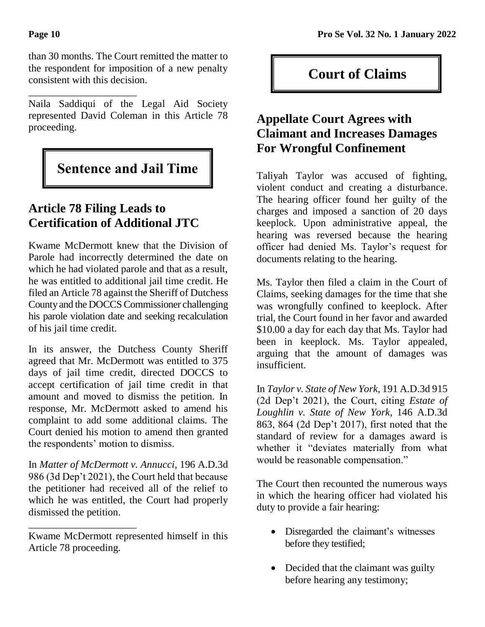\_\_\_\_\_\_\_\_\_\_\_\_\_\_\_\_\_\_\_\_\_

than 30 months. The Court remitted the matter to the respondent for imposition of a new penalty consistent with this decision.

Naila Saddiqui of the Legal Aid Society represented David Coleman in this Article 78 proceeding.

# **Sentence and Jail Time**

# **Article 78 Filing Leads to Certification of Additional JTC**

Kwame McDermott knew that the Division of Parole had incorrectly determined the date on which he had violated parole and that as a result, he was entitled to additional jail time credit. He filed an Article 78 against the Sheriff of Dutchess County and the DOCCS Commissioner challenging his parole violation date and seeking recalculation of his jail time credit.

In its answer, the Dutchess County Sheriff agreed that Mr. McDermott was entitled to 375 days of jail time credit, directed DOCCS to accept certification of jail time credit in that amount and moved to dismiss the petition. In response, Mr. McDermott asked to amend his complaint to add some additional claims. The Court denied his motion to amend then granted the respondents' motion to dismiss.

In *Matter of McDermott v. Annucci*, 196 A.D.3d 986 (3d Dep't 2021), the Court held that because the petitioner had received all of the relief to which he was entitled, the Court had properly dismissed the petition.

\_\_\_\_\_\_\_\_\_\_\_\_\_\_\_\_\_\_\_\_\_

# **Court of Claims**

#### **Appellate Court Agrees with Claimant and Increases Damages For Wrongful Confinement**

Taliyah Taylor was accused of fighting, violent conduct and creating a disturbance. The hearing officer found her guilty of the charges and imposed a sanction of 20 days keeplock. Upon administrative appeal, the hearing was reversed because the hearing officer had denied Ms. Taylor's request for documents relating to the hearing.

Ms. Taylor then filed a claim in the Court of Claims, seeking damages for the time that she was wrongfully confined to keeplock. After trial, the Court found in her favor and awarded \$10.00 a day for each day that Ms. Taylor had been in keeplock. Ms. Taylor appealed, arguing that the amount of damages was insufficient.

In *Taylor v. State of New York*, 191 A.D.3d 915 (2d Dep't 2021), the Court, citing *Estate of Loughlin v. State of New York*, 146 A.D.3d 863, 864 (2d Dep't 2017), first noted that the standard of review for a damages award is whether it "deviates materially from what would be reasonable compensation."

The Court then recounted the numerous ways in which the hearing officer had violated his duty to provide a fair hearing:

- Disregarded the claimant's witnesses before they testified;
- Decided that the claimant was guilty before hearing any testimony;

Kwame McDermott represented himself in this Article 78 proceeding.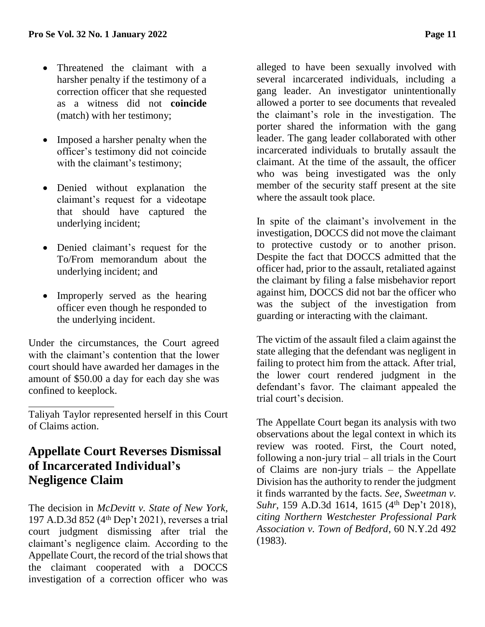- Threatened the claimant with a harsher penalty if the testimony of a correction officer that she requested as a witness did not **coincide** (match) with her testimony;
- Imposed a harsher penalty when the officer's testimony did not coincide with the claimant's testimony;
- Denied without explanation the claimant's request for a videotape that should have captured the underlying incident;
- Denied claimant's request for the To/From memorandum about the underlying incident; and
- Improperly served as the hearing officer even though he responded to the underlying incident.

Under the circumstances, the Court agreed with the claimant's contention that the lower court should have awarded her damages in the amount of \$50.00 a day for each day she was confined to keeplock.

Taliyah Taylor represented herself in this Court of Claims action.

#### **Appellate Court Reverses Dismissal of Incarcerated Individual's Negligence Claim**

The decision in *McDevitt v. State of New York*, 197 A.D.3d 852 (4<sup>th</sup> Dep't 2021), reverses a trial court judgment dismissing after trial the claimant's negligence claim. According to the Appellate Court, the record of the trial shows that the claimant cooperated with a DOCCS investigation of a correction officer who was

alleged to have been sexually involved with several incarcerated individuals, including a gang leader. An investigator unintentionally allowed a porter to see documents that revealed the claimant's role in the investigation. The porter shared the information with the gang leader. The gang leader collaborated with other incarcerated individuals to brutally assault the claimant. At the time of the assault, the officer who was being investigated was the only member of the security staff present at the site where the assault took place.

In spite of the claimant's involvement in the investigation, DOCCS did not move the claimant to protective custody or to another prison. Despite the fact that DOCCS admitted that the officer had, prior to the assault, retaliated against the claimant by filing a false misbehavior report against him, DOCCS did not bar the officer who was the subject of the investigation from guarding or interacting with the claimant.

The victim of the assault filed a claim against the state alleging that the defendant was negligent in failing to protect him from the attack. After trial, the lower court rendered judgment in the defendant's favor. The claimant appealed the trial court's decision.

The Appellate Court began its analysis with two observations about the legal context in which its review was rooted. First, the Court noted, following a non-jury trial – all trials in the Court of Claims are non-jury trials – the Appellate Division has the authority to render the judgment it finds warranted by the facts. *See*, *Sweetman v. Suhr*, 159 A.D.3d 1614, 1615 (4<sup>th</sup> Dep't 2018), *citing Northern Westchester Professional Park Association v. Town of Bedford*, 60 N.Y.2d 492 (1983).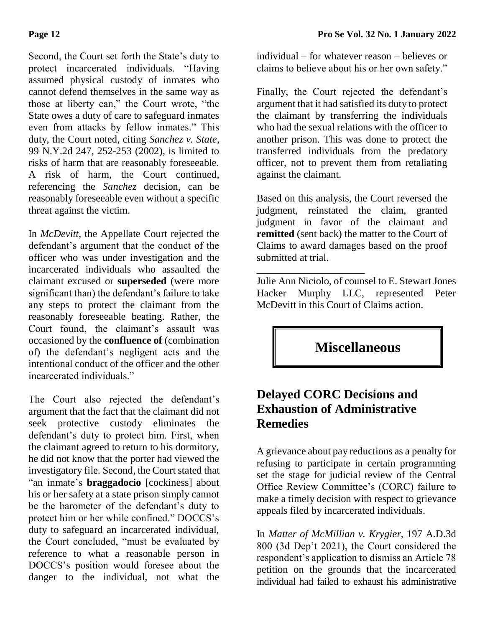Second, the Court set forth the State's duty to protect incarcerated individuals. "Having assumed physical custody of inmates who cannot defend themselves in the same way as those at liberty can," the Court wrote, "the State owes a duty of care to safeguard inmates even from attacks by fellow inmates." This duty, the Court noted, citing *Sanchez v. State*, 99 N.Y.2d 247, 252-253 (2002), is limited to risks of harm that are reasonably foreseeable. A risk of harm, the Court continued, referencing the *Sanchez* decision, can be reasonably foreseeable even without a specific threat against the victim.

In *McDevitt*, the Appellate Court rejected the defendant's argument that the conduct of the officer who was under investigation and the incarcerated individuals who assaulted the claimant excused or **superseded** (were more significant than) the defendant's failure to take any steps to protect the claimant from the reasonably foreseeable beating. Rather, the Court found, the claimant's assault was occasioned by the **confluence of** (combination of) the defendant's negligent acts and the intentional conduct of the officer and the other incarcerated individuals"

The Court also rejected the defendant's argument that the fact that the claimant did not seek protective custody eliminates the defendant's duty to protect him. First, when the claimant agreed to return to his dormitory, he did not know that the porter had viewed the investigatory file. Second, the Court stated that "an inmate's **braggadocio** [cockiness] about his or her safety at a state prison simply cannot be the barometer of the defendant's duty to protect him or her while confined." DOCCS's duty to safeguard an incarcerated individual, the Court concluded, "must be evaluated by reference to what a reasonable person in DOCCS's position would foresee about the danger to the individual, not what the individual – for whatever reason – believes or claims to believe about his or her own safety."

Finally, the Court rejected the defendant's argument that it had satisfied its duty to protect the claimant by transferring the individuals who had the sexual relations with the officer to another prison. This was done to protect the transferred individuals from the predatory officer, not to prevent them from retaliating against the claimant.

Based on this analysis, the Court reversed the judgment, reinstated the claim, granted judgment in favor of the claimant and **remitted** (sent back) the matter to the Court of Claims to award damages based on the proof submitted at trial.

\_\_\_\_\_\_\_\_\_\_\_\_\_\_\_\_\_\_\_\_\_ Julie Ann Niciolo, of counsel to E. Stewart Jones Hacker Murphy LLC, represented Peter McDevitt in this Court of Claims action.

**Miscellaneous**

#### **Delayed CORC Decisions and Exhaustion of Administrative Remedies**

A grievance about pay reductions as a penalty for refusing to participate in certain programming set the stage for judicial review of the Central Office Review Committee's (CORC) failure to make a timely decision with respect to grievance appeals filed by incarcerated individuals.

In *Matter of McMillian v. Krygier*, 197 A.D.3d 800 (3d Dep't 2021), the Court considered the respondent's application to dismiss an Article 78 petition on the grounds that the incarcerated individual had failed to exhaust his administrative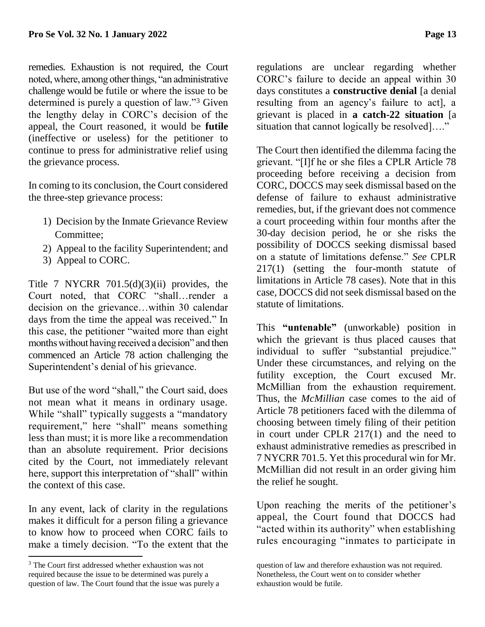remedies. Exhaustion is not required, the Court noted, where, among other things, "an administrative challenge would be futile or where the issue to be determined is purely a question of law."<sup>3</sup> Given the lengthy delay in CORC's decision of the appeal, the Court reasoned, it would be **futile** (ineffective or useless) for the petitioner to continue to press for administrative relief using the grievance process.

In coming to its conclusion, the Court considered the three-step grievance process:

- 1) Decision by the Inmate Grievance Review Committee;
- 2) Appeal to the facility Superintendent; and
- 3) Appeal to CORC.

Title 7 NYCRR  $701.5(d)(3)(ii)$  provides, the Court noted, that CORC "shall…render a decision on the grievance…within 30 calendar days from the time the appeal was received." In this case, the petitioner "waited more than eight months without having received a decision" and then commenced an Article 78 action challenging the Superintendent's denial of his grievance.

But use of the word "shall," the Court said, does not mean what it means in ordinary usage. While "shall" typically suggests a "mandatory requirement," here "shall" means something less than must; it is more like a recommendation than an absolute requirement. Prior decisions cited by the Court, not immediately relevant here, support this interpretation of "shall" within the context of this case.

In any event, lack of clarity in the regulations makes it difficult for a person filing a grievance to know how to proceed when CORC fails to make a timely decision. "To the extent that the

 $\overline{a}$ 

regulations are unclear regarding whether CORC's failure to decide an appeal within 30 days constitutes a **constructive denial** [a denial resulting from an agency's failure to act], a grievant is placed in **a catch-22 situation** [a situation that cannot logically be resolved]…."

The Court then identified the dilemma facing the grievant. "[I]f he or she files a CPLR Article 78 proceeding before receiving a decision from CORC, DOCCS may seek dismissal based on the defense of failure to exhaust administrative remedies, but, if the grievant does not commence a court proceeding within four months after the 30-day decision period, he or she risks the possibility of DOCCS seeking dismissal based on a statute of limitations defense." *See* CPLR 217(1) (setting the four-month statute of limitations in Article 78 cases). Note that in this case, DOCCS did not seek dismissal based on the statute of limitations.

This **"untenable"** (unworkable) position in which the grievant is thus placed causes that individual to suffer "substantial prejudice." Under these circumstances, and relying on the futility exception, the Court excused Mr. McMillian from the exhaustion requirement. Thus, the *McMillian* case comes to the aid of Article 78 petitioners faced with the dilemma of choosing between timely filing of their petition in court under CPLR 217(1) and the need to exhaust administrative remedies as prescribed in 7 NYCRR 701.5. Yet this procedural win for Mr. McMillian did not result in an order giving him the relief he sought.

Upon reaching the merits of the petitioner's appeal, the Court found that DOCCS had "acted within its authority" when establishing rules encouraging "inmates to participate in

<sup>3</sup> The Court first addressed whether exhaustion was not required because the issue to be determined was purely a question of law. The Court found that the issue was purely a

question of law and therefore exhaustion was not required. Nonetheless, the Court went on to consider whether exhaustion would be futile.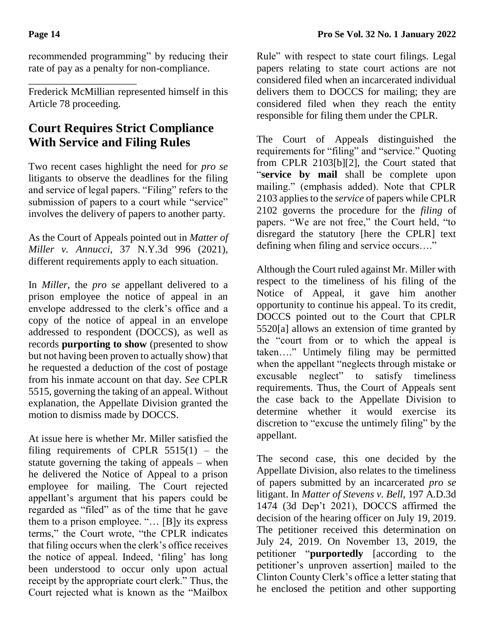\_\_\_\_\_\_\_\_\_\_\_\_\_\_\_\_\_\_\_\_\_

recommended programming" by reducing their rate of pay as a penalty for non-compliance.

Frederick McMillian represented himself in this Article 78 proceeding.

# **Court Requires Strict Compliance With Service and Filing Rules**

Two recent cases highlight the need for *pro se*  litigants to observe the deadlines for the filing and service of legal papers. "Filing" refers to the submission of papers to a court while "service" involves the delivery of papers to another party.

As the Court of Appeals pointed out in *Matter of Miller v. Annucci*, 37 N.Y.3d 996 (2021), different requirements apply to each situation.

In *Miller*, the *pro se* appellant delivered to a prison employee the notice of appeal in an envelope addressed to the clerk's office and a copy of the notice of appeal in an envelope addressed to respondent (DOCCS), as well as records **purporting to show** (presented to show but not having been proven to actually show) that he requested a deduction of the cost of postage from his inmate account on that day. *See* CPLR 5515, governing the taking of an appeal. Without explanation, the Appellate Division granted the motion to dismiss made by DOCCS.

At issue here is whether Mr. Miller satisfied the filing requirements of CPLR  $5515(1)$  – the statute governing the taking of appeals – when he delivered the Notice of Appeal to a prison employee for mailing. The Court rejected appellant's argument that his papers could be regarded as "filed" as of the time that he gave them to a prison employee. "… [B]y its express terms," the Court wrote, "the CPLR indicates that filing occurs when the clerk's office receives the notice of appeal. Indeed, 'filing' has long been understood to occur only upon actual receipt by the appropriate court clerk." Thus, the Court rejected what is known as the "Mailbox

Rule" with respect to state court filings. Legal papers relating to state court actions are not considered filed when an incarcerated individual delivers them to DOCCS for mailing; they are considered filed when they reach the entity responsible for filing them under the CPLR.

The Court of Appeals distinguished the requirements for "filing" and "service." Quoting from CPLR 2103[b][2], the Court stated that "**service by mail** shall be complete upon mailing." (emphasis added). Note that CPLR 2103 applies to the *service* of papers while CPLR 2102 governs the procedure for the *filing* of papers. "We are not free," the Court held, "to disregard the statutory [here the CPLR] text defining when filing and service occurs…."

Although the Court ruled against Mr. Miller with respect to the timeliness of his filing of the Notice of Appeal, it gave him another opportunity to continue his appeal. To its credit, DOCCS pointed out to the Court that CPLR 5520[a] allows an extension of time granted by the "court from or to which the appeal is taken…." Untimely filing may be permitted when the appellant "neglects through mistake or excusable neglect" to satisfy timeliness requirements. Thus, the Court of Appeals sent the case back to the Appellate Division to determine whether it would exercise its discretion to "excuse the untimely filing" by the appellant.

The second case, this one decided by the Appellate Division, also relates to the timeliness of papers submitted by an incarcerated *pro se*  litigant. In *Matter of Stevens v. Bell*, 197 A.D.3d 1474 (3d Dep't 2021), DOCCS affirmed the decision of the hearing officer on July 19, 2019. The petitioner received this determination on July 24, 2019. On November 13, 2019, the petitioner "**purportedly** [according to the petitioner's unproven assertion] mailed to the Clinton County Clerk's office a letter stating that he enclosed the petition and other supporting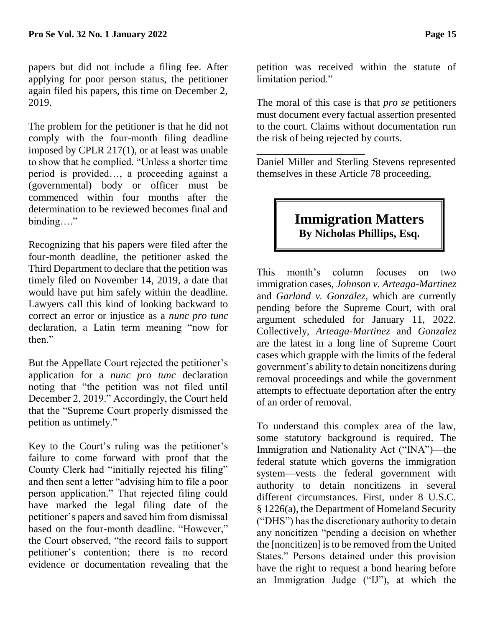papers but did not include a filing fee. After applying for poor person status, the petitioner again filed his papers, this time on December 2, 2019.

The problem for the petitioner is that he did not comply with the four-month filing deadline imposed by CPLR 217(1), or at least was unable to show that he complied. "Unless a shorter time period is provided…, a proceeding against a (governmental) body or officer must be commenced within four months after the determination to be reviewed becomes final and binding…."

Recognizing that his papers were filed after the four-month deadline, the petitioner asked the Third Department to declare that the petition was timely filed on November 14, 2019, a date that would have put him safely within the deadline. Lawyers call this kind of looking backward to correct an error or injustice as a *nunc pro tunc* declaration, a Latin term meaning "now for then."

But the Appellate Court rejected the petitioner's application for a *nunc pro tunc* declaration noting that "the petition was not filed until December 2, 2019." Accordingly, the Court held that the "Supreme Court properly dismissed the petition as untimely."

Key to the Court's ruling was the petitioner's failure to come forward with proof that the County Clerk had "initially rejected his filing" and then sent a letter "advising him to file a poor person application." That rejected filing could have marked the legal filing date of the petitioner's papers and saved him from dismissal based on the four-month deadline. "However," the Court observed, "the record fails to support petitioner's contention; there is no record evidence or documentation revealing that the

petition was received within the statute of limitation period."

The moral of this case is that *pro se* petitioners must document every factual assertion presented to the court. Claims without documentation run the risk of being rejected by courts.

Daniel Miller and Sterling Stevens represented themselves in these Article 78 proceeding.

\_\_\_\_\_\_\_\_\_\_\_\_\_\_\_\_\_\_\_\_\_

## **Immigration Matters By Nicholas Phillips, Esq.**

This month's column focuses on two immigration cases, *Johnson v. Arteaga-Martinez* and *Garland v. Gonzalez*, which are currently pending before the Supreme Court, with oral argument scheduled for January 11, 2022. Collectively, *Arteaga-Martinez* and *Gonzalez* are the latest in a long line of Supreme Court cases which grapple with the limits of the federal government's ability to detain noncitizens during removal proceedings and while the government attempts to effectuate deportation after the entry of an order of removal.

To understand this complex area of the law, some statutory background is required. The Immigration and Nationality Act ("INA")—the federal statute which governs the immigration system—vests the federal government with authority to detain noncitizens in several different circumstances. First, under 8 U.S.C. § 1226(a), the Department of Homeland Security ("DHS") has the discretionary authority to detain any noncitizen "pending a decision on whether the [noncitizen] is to be removed from the United States." Persons detained under this provision have the right to request a bond hearing before an Immigration Judge ("IJ"), at which the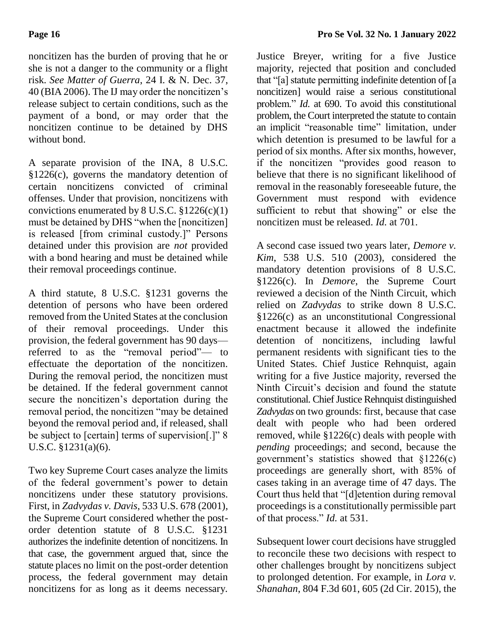noncitizen has the burden of proving that he or she is not a danger to the community or a flight risk. *See Matter of Guerra*, 24 I. & N. Dec. 37, 40 (BIA 2006). The IJ may order the noncitizen's release subject to certain conditions, such as the payment of a bond, or may order that the noncitizen continue to be detained by DHS without bond.

A separate provision of the INA, 8 U.S.C. §1226(c), governs the mandatory detention of certain noncitizens convicted of criminal offenses. Under that provision, noncitizens with convictions enumerated by  $8 \text{ U.S.C. } $1226(c)(1)$ must be detained by DHS "when the [noncitizen] is released [from criminal custody.]" Persons detained under this provision are *not* provided with a bond hearing and must be detained while their removal proceedings continue.

A third statute, 8 U.S.C. §1231 governs the detention of persons who have been ordered removed from the United States at the conclusion of their removal proceedings. Under this provision, the federal government has 90 days referred to as the "removal period"— to effectuate the deportation of the noncitizen. During the removal period, the noncitizen must be detained. If the federal government cannot secure the noncitizen's deportation during the removal period, the noncitizen "may be detained beyond the removal period and, if released, shall be subject to [certain] terms of supervision[.]" 8 U.S.C. §1231(a)(6).

Two key Supreme Court cases analyze the limits of the federal government's power to detain noncitizens under these statutory provisions. First, in *Zadvydas v. Davis*, 533 U.S. 678 (2001), the Supreme Court considered whether the postorder detention statute of 8 U.S.C. §1231 authorizes the indefinite detention of noncitizens. In that case, the government argued that, since the statute places no limit on the post-order detention process, the federal government may detain noncitizens for as long as it deems necessary.

Justice Breyer, writing for a five Justice majority, rejected that position and concluded that "[a] statute permitting indefinite detention of [a noncitizen] would raise a serious constitutional problem." *Id.* at 690. To avoid this constitutional problem, the Court interpreted the statute to contain an implicit "reasonable time" limitation, under which detention is presumed to be lawful for a period of six months. After six months, however, if the noncitizen "provides good reason to believe that there is no significant likelihood of removal in the reasonably foreseeable future, the Government must respond with evidence sufficient to rebut that showing" or else the noncitizen must be released. *Id.* at 701.

A second case issued two years later, *Demore v. Kim*, 538 U.S. 510 (2003), considered the mandatory detention provisions of 8 U.S.C. §1226(c). In *Demore*, the Supreme Court reviewed a decision of the Ninth Circuit, which relied on *Zadvydas* to strike down 8 U.S.C. §1226(c) as an unconstitutional Congressional enactment because it allowed the indefinite detention of noncitizens, including lawful permanent residents with significant ties to the United States. Chief Justice Rehnquist, again writing for a five Justice majority, reversed the Ninth Circuit's decision and found the statute constitutional. Chief Justice Rehnquist distinguished *Zadvydas* on two grounds: first, because that case dealt with people who had been ordered removed, while §1226(c) deals with people with *pending* proceedings; and second, because the government's statistics showed that §1226(c) proceedings are generally short, with 85% of cases taking in an average time of 47 days. The Court thus held that "[d]etention during removal proceedings is a constitutionally permissible part of that process." *Id.* at 531.

Subsequent lower court decisions have struggled to reconcile these two decisions with respect to other challenges brought by noncitizens subject to prolonged detention. For example, in *Lora v. Shanahan*, 804 F.3d 601, 605 (2d Cir. 2015), the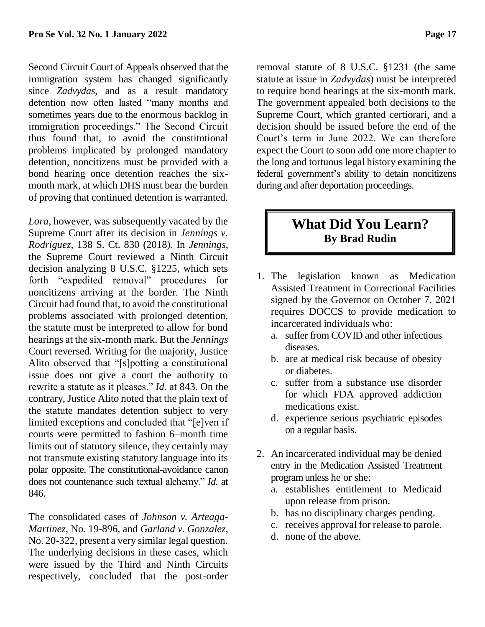Second Circuit Court of Appeals observed that the immigration system has changed significantly since *Zadvydas*, and as a result mandatory detention now often lasted "many months and sometimes years due to the enormous backlog in immigration proceedings." The Second Circuit thus found that, to avoid the constitutional problems implicated by prolonged mandatory detention, noncitizens must be provided with a bond hearing once detention reaches the sixmonth mark, at which DHS must bear the burden of proving that continued detention is warranted.

*Lora*, however, was subsequently vacated by the Supreme Court after its decision in *Jennings v. Rodriguez*, 138 S. Ct. 830 (2018). In *Jennings*, the Supreme Court reviewed a Ninth Circuit decision analyzing 8 U.S.C. §1225, which sets forth "expedited removal" procedures for noncitizens arriving at the border. The Ninth Circuit had found that, to avoid the constitutional problems associated with prolonged detention, the statute must be interpreted to allow for bond hearings at the six-month mark. But the *Jennings* Court reversed. Writing for the majority, Justice Alito observed that "[s]potting a constitutional issue does not give a court the authority to rewrite a statute as it pleases." *Id.* at 843. On the contrary, Justice Alito noted that the plain text of the statute mandates detention subject to very limited exceptions and concluded that "[e]ven if courts were permitted to fashion 6–month time limits out of statutory silence, they certainly may not transmute existing statutory language into its polar opposite. The constitutional-avoidance canon does not countenance such textual alchemy." *Id.* at 846.

The consolidated cases of *Johnson v. Arteaga-Martinez*, No. 19-896, and *Garland v. Gonzalez*, No. 20-322, present a very similar legal question. The underlying decisions in these cases, which were issued by the Third and Ninth Circuits respectively, concluded that the post-order removal statute of 8 U.S.C. §1231 (the same statute at issue in *Zadvydas*) must be interpreted to require bond hearings at the six-month mark. The government appealed both decisions to the Supreme Court, which granted certiorari, and a decision should be issued before the end of the Court's term in June 2022. We can therefore expect the Court to soon add one more chapter to the long and tortuous legal history examining the federal government's ability to detain noncitizens during and after deportation proceedings.

#### **What Did You Learn? By Brad Rudin**

- 1. The legislation known as Medication Assisted Treatment in Correctional Facilities signed by the Governor on October 7, 2021 requires DOCCS to provide medication to incarcerated individuals who:
	- a. suffer from COVID and other infectious diseases.
	- b. are at medical risk because of obesity or diabetes.
	- c. suffer from a substance use disorder for which FDA approved addiction medications exist.
	- d. experience serious psychiatric episodes on a regular basis.
- 2. An incarcerated individual may be denied entry in the Medication Assisted Treatment program unless he or she:
	- a. establishes entitlement to Medicaid upon release from prison.
	- b. has no disciplinary charges pending.
	- c. receives approval for release to parole.
	- d. none of the above.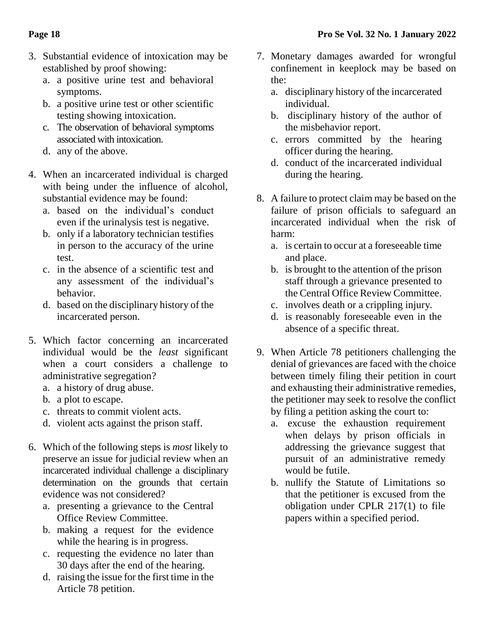- 3. Substantial evidence of intoxication may be established by proof showing:
	- a. a positive urine test and behavioral symptoms.
	- b. a positive urine test or other scientific testing showing intoxication.
	- c. The observation of behavioral symptoms associated with intoxication.
	- d. any of the above.
- 4. When an incarcerated individual is charged with being under the influence of alcohol, substantial evidence may be found:
	- a. based on the individual's conduct even if the urinalysis test is negative.
	- b. only if a laboratory technician testifies in person to the accuracy of the urine test.
	- c. in the absence of a scientific test and any assessment of the individual's behavior.
	- d. based on the disciplinary history of the incarcerated person.
- 5. Which factor concerning an incarcerated individual would be the *least* significant when a court considers a challenge to administrative segregation?
	- a. a history of drug abuse.
	- b. a plot to escape.
	- c. threats to commit violent acts.
	- d. violent acts against the prison staff.
- 6. Which of the following steps is *most* likely to preserve an issue for judicial review when an incarcerated individual challenge a disciplinary determination on the grounds that certain evidence was not considered?
	- a. presenting a grievance to the Central Office Review Committee.
	- b. making a request for the evidence while the hearing is in progress.
	- c. requesting the evidence no later than 30 days after the end of the hearing.
	- d. raising the issue for the first time in the Article 78 petition.
- 7. Monetary damages awarded for wrongful confinement in keeplock may be based on the:
	- a. disciplinary history of the incarcerated individual.
	- b. disciplinary history of the author of the misbehavior report.
	- c. errors committed by the hearing officer during the hearing.
	- d. conduct of the incarcerated individual during the hearing.
- 8. A failure to protect claim may be based on the failure of prison officials to safeguard an incarcerated individual when the risk of harm:
	- a. is certain to occur at a foreseeable time and place.
	- b. is brought to the attention of the prison staff through a grievance presented to the Central Office Review Committee.
	- c. involves death or a crippling injury.
	- d. is reasonably foreseeable even in the absence of a specific threat.
- 9. When Article 78 petitioners challenging the denial of grievances are faced with the choice between timely filing their petition in court and exhausting their administrative remedies, the petitioner may seek to resolve the conflict by filing a petition asking the court to:
	- a. excuse the exhaustion requirement when delays by prison officials in addressing the grievance suggest that pursuit of an administrative remedy would be futile.
	- b. nullify the Statute of Limitations so that the petitioner is excused from the obligation under CPLR 217(1) to file papers within a specified period.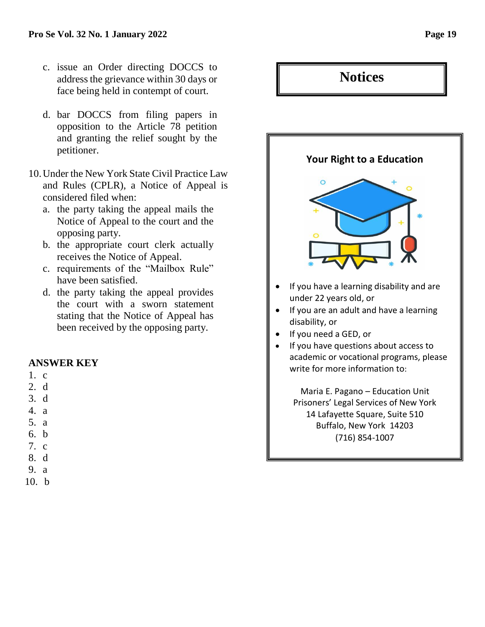- c. issue an Order directing DOCCS to address the grievance within 30 days or face being held in contempt of court.
- d. bar DOCCS from filing papers in opposition to the Article 78 petition and granting the relief sought by the petitioner.
- 10.Under the New York State Civil Practice Law and Rules (CPLR), a Notice of Appeal is considered filed when:
	- a. the party taking the appeal mails the Notice of Appeal to the court and the opposing party.
	- b. the appropriate court clerk actually receives the Notice of Appeal.
	- c. requirements of the "Mailbox Rule" have been satisfied.
	- d. the party taking the appeal provides the court with a sworn statement stating that the Notice of Appeal has been received by the opposing party.

#### **ANSWER KEY**

- 1. c
- 2. d
- 3. d
- 4. a
- 5. a
- 6. b
- 7. c
- 8. d
- 9. a
- 10. b

# **Your Right to a Education** If you have a learning disability and are under 22 years old, or • If you are an adult and have a learning disability, or • If you need a GED, or • If you have questions about access to academic or vocational programs, please write for more information to: Maria E. Pagano – Education Unit Prisoners' Legal Services of New York 14 Lafayette Square, Suite 510 Buffalo, New York 14203 (716) 854-1007

**Notices**